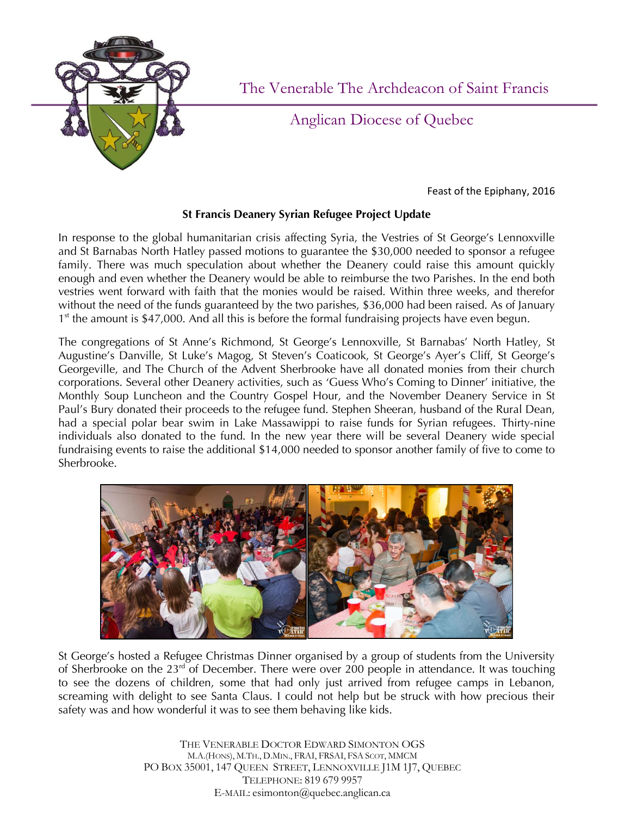

The Venerable The Archdeacon of Saint Francis

Anglican Diocese of Quebec

Feast of the Epiphany, 2016

## **St Francis Deanery Syrian Refugee Project Update**

In response to the global humanitarian crisis affecting Syria, the Vestries of St George's Lennoxville and St Barnabas North Hatley passed motions to guarantee the \$30,000 needed to sponsor a refugee family. There was much speculation about whether the Deanery could raise this amount quickly enough and even whether the Deanery would be able to reimburse the two Parishes. In the end both vestries went forward with faith that the monies would be raised. Within three weeks, and therefor without the need of the funds guaranteed by the two parishes, \$36,000 had been raised. As of January 1<sup>st</sup> the amount is \$47,000. And all this is before the formal fundraising projects have even begun.

The congregations of St Anne's Richmond, St George's Lennoxville, St Barnabas' North Hatley, St Augustine's Danville, St Luke's Magog, St Steven's Coaticook, St George's Ayer's Cliff, St George's Georgeville, and The Church of the Advent Sherbrooke have all donated monies from their church corporations. Several other Deanery activities, such as 'Guess Who's Coming to Dinner' initiative, the Monthly Soup Luncheon and the Country Gospel Hour, and the November Deanery Service in St Paul's Bury donated their proceeds to the refugee fund. Stephen Sheeran, husband of the Rural Dean, had a special polar bear swim in Lake Massawippi to raise funds for Syrian refugees. Thirty-nine individuals also donated to the fund. In the new year there will be several Deanery wide special fundraising events to raise the additional \$14,000 needed to sponsor another family of five to come to Sherbrooke.



St George's hosted a Refugee Christmas Dinner organised by a group of students from the University of Sherbrooke on the  $23<sup>rd</sup>$  of December. There were over 200 people in attendance. It was touching to see the dozens of children, some that had only just arrived from refugee camps in Lebanon, screaming with delight to see Santa Claus. I could not help but be struck with how precious their safety was and how wonderful it was to see them behaving like kids.

> THE VENERABLE DOCTOR EDWARD SIMONTON OGS M.A.(HONS), M.TH., D.MIN., FRAI, FRSAI, FSA SCOT, MMCM PO BOX 35001, 147 QUEEN STREET, LENNOXVILLE J1M 1J7, QUEBEC TELEPHONE: 819 679 9957 E-MAIL: esimonton@quebec.anglican.ca